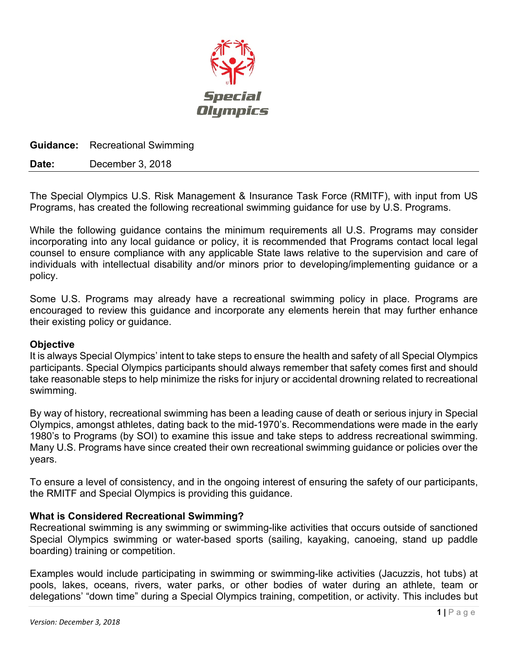

**Guidance:** Recreational Swimming

**Date:** December 3, 2018

The Special Olympics U.S. Risk Management & Insurance Task Force (RMITF), with input from US Programs, has created the following recreational swimming guidance for use by U.S. Programs.

While the following guidance contains the minimum requirements all U.S. Programs may consider incorporating into any local guidance or policy, it is recommended that Programs contact local legal counsel to ensure compliance with any applicable State laws relative to the supervision and care of individuals with intellectual disability and/or minors prior to developing/implementing guidance or a policy.

Some U.S. Programs may already have a recreational swimming policy in place. Programs are encouraged to review this guidance and incorporate any elements herein that may further enhance their existing policy or guidance.

### **Objective**

It is always Special Olympics' intent to take steps to ensure the health and safety of all Special Olympics participants. Special Olympics participants should always remember that safety comes first and should take reasonable steps to help minimize the risks for injury or accidental drowning related to recreational swimming.

By way of history, recreational swimming has been a leading cause of death or serious injury in Special Olympics, amongst athletes, dating back to the mid-1970's. Recommendations were made in the early 1980's to Programs (by SOI) to examine this issue and take steps to address recreational swimming. Many U.S. Programs have since created their own recreational swimming guidance or policies over the years.

To ensure a level of consistency, and in the ongoing interest of ensuring the safety of our participants, the RMITF and Special Olympics is providing this guidance.

### **What is Considered Recreational Swimming?**

Recreational swimming is any swimming or swimming-like activities that occurs outside of sanctioned Special Olympics swimming or water-based sports (sailing, kayaking, canoeing, stand up paddle boarding) training or competition.

Examples would include participating in swimming or swimming-like activities (Jacuzzis, hot tubs) at pools, lakes, oceans, rivers, water parks, or other bodies of water during an athlete, team or delegations' "down time" during a Special Olympics training, competition, or activity. This includes but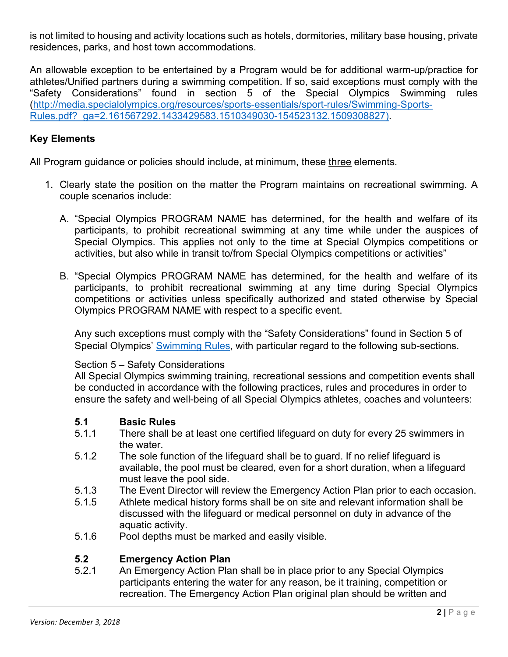is not limited to housing and activity locations such as hotels, dormitories, military base housing, private residences, parks, and host town accommodations.

An allowable exception to be entertained by a Program would be for additional warm-up/practice for athletes/Unified partners during a swimming competition. If so, said exceptions must comply with the "Safety Considerations" found in section 5 of the Special Olympics Swimming rules [\(http://media.specialolympics.org/resources/sports-essentials/sport-rules/Swimming-Sports-](http://media.specialolympics.org/resources/sports-essentials/sport-rules/Swimming-Sports-Rules.pdf?_ga=2.161567292.1433429583.1510349030-154523132.1509308827))[Rules.pdf?\\_ga=2.161567292.1433429583.1510349030-154523132.1509308827\).](http://media.specialolympics.org/resources/sports-essentials/sport-rules/Swimming-Sports-Rules.pdf?_ga=2.161567292.1433429583.1510349030-154523132.1509308827))

### **Key Elements**

All Program guidance or policies should include, at minimum, these three elements.

- 1. Clearly state the position on the matter the Program maintains on recreational swimming. A couple scenarios include:
	- A. "Special Olympics PROGRAM NAME has determined, for the health and welfare of its participants, to prohibit recreational swimming at any time while under the auspices of Special Olympics. This applies not only to the time at Special Olympics competitions or activities, but also while in transit to/from Special Olympics competitions or activities"
	- B. "Special Olympics PROGRAM NAME has determined, for the health and welfare of its participants, to prohibit recreational swimming at any time during Special Olympics competitions or activities unless specifically authorized and stated otherwise by Special Olympics PROGRAM NAME with respect to a specific event.

Any such exceptions must comply with the "Safety Considerations" found in Section 5 of Special Olympics' [Swimming Rules,](http://media.specialolympics.org/resources/sports-essentials/sport-rules/Swimming-Sports-Rules.pdf?_ga=2.161567292.1433429583.1510349030-154523132.1509308827)) with particular regard to the following sub-sections.

### Section 5 – Safety Considerations

All Special Olympics swimming training, recreational sessions and competition events shall be conducted in accordance with the following practices, rules and procedures in order to ensure the safety and well-being of all Special Olympics athletes, coaches and volunteers:

## **5.1 Basic Rules**

- There shall be at least one certified lifeguard on duty for every 25 swimmers in the water.
- 5.1.2 The sole function of the lifeguard shall be to guard. If no relief lifeguard is available, the pool must be cleared, even for a short duration, when a lifeguard must leave the pool side.
- 5.1.3 The Event Director will review the Emergency Action Plan prior to each occasion.
- 5.1.5 Athlete medical history forms shall be on site and relevant information shall be discussed with the lifeguard or medical personnel on duty in advance of the aquatic activity.
- 5.1.6 Pool depths must be marked and easily visible.

# **5.2 Emergency Action Plan**

An Emergency Action Plan shall be in place prior to any Special Olympics participants entering the water for any reason, be it training, competition or recreation. The Emergency Action Plan original plan should be written and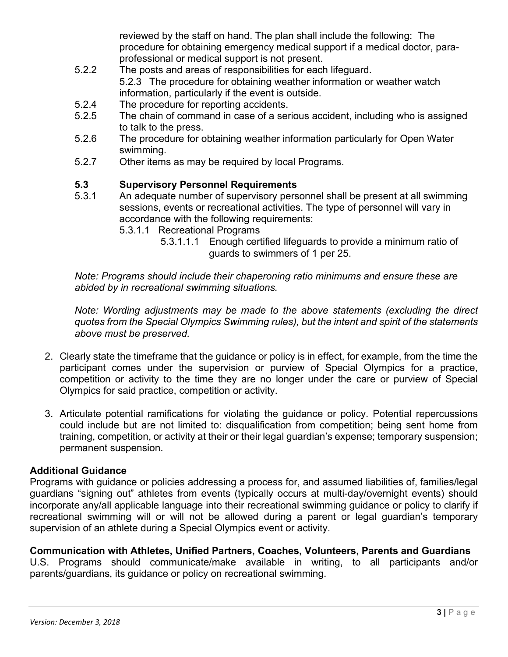reviewed by the staff on hand. The plan shall include the following: The procedure for obtaining emergency medical support if a medical doctor, paraprofessional or medical support is not present.

- 5.2.2 The posts and areas of responsibilities for each lifeguard. 5.2.3 The procedure for obtaining weather information or weather watch information, particularly if the event is outside.
- 5.2.4 The procedure for reporting accidents.<br>5.2.5 The chain of command in case of a ser
- The chain of command in case of a serious accident, including who is assigned to talk to the press.
- 5.2.6 The procedure for obtaining weather information particularly for Open Water swimming.
- 5.2.7 Other items as may be required by local Programs.

### **5.3 Supervisory Personnel Requirements**

- 5.3.1 An adequate number of supervisory personnel shall be present at all swimming sessions, events or recreational activities. The type of personnel will vary in accordance with the following requirements:
	- 5.3.1.1 Recreational Programs
		- 5.3.1.1.1 Enough certified lifeguards to provide a minimum ratio of guards to swimmers of 1 per 25.

*Note: Programs should include their chaperoning ratio minimums and ensure these are abided by in recreational swimming situations.*

*Note: Wording adjustments may be made to the above statements (excluding the direct quotes from the Special Olympics Swimming rules), but the intent and spirit of the statements above must be preserved.*

- 2. Clearly state the timeframe that the guidance or policy is in effect, for example, from the time the participant comes under the supervision or purview of Special Olympics for a practice, competition or activity to the time they are no longer under the care or purview of Special Olympics for said practice, competition or activity.
- 3. Articulate potential ramifications for violating the guidance or policy. Potential repercussions could include but are not limited to: disqualification from competition; being sent home from training, competition, or activity at their or their legal guardian's expense; temporary suspension; permanent suspension.

### **Additional Guidance**

Programs with guidance or policies addressing a process for, and assumed liabilities of, families/legal guardians "signing out" athletes from events (typically occurs at multi-day/overnight events) should incorporate any/all applicable language into their recreational swimming guidance or policy to clarify if recreational swimming will or will not be allowed during a parent or legal guardian's temporary supervision of an athlete during a Special Olympics event or activity.

### **Communication with Athletes, Unified Partners, Coaches, Volunteers, Parents and Guardians**

U.S. Programs should communicate/make available in writing, to all participants and/or parents/guardians, its guidance or policy on recreational swimming.